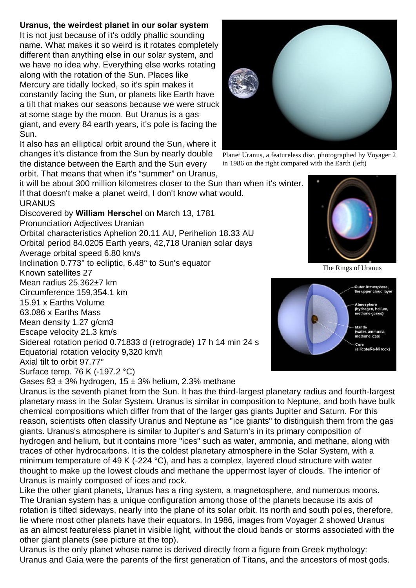## **Uranus, the weirdest planet in our solar system**

It is not just because of it's oddly phallic sounding name. What makes it so weird is it rotates completely different than anything else in our solar system, and we have no idea why. Everything else works rotating along with the rotation of the Sun. Places like Mercury are tidally locked, so it's spin makes it constantly facing the Sun, or planets like Earth have a tilt that makes our seasons because we were struck at some stage by the moon. But Uranus is a gas giant, and every 84 earth years, it's pole is facing the Sun.

It also has an elliptical orbit around the Sun, where it changes it's distance from the Sun by nearly double the distance between the Earth and the Sun every orbit. That means that when it's "summer" on Uranus,

it will be about 300 million kilometres closer to the Sun than when it's winter. If that doesn't make a planet weird, I don't know what would.

URANUS Discovered by **William Herschel** on March 13, 1781 Pronunciation Adjectives Uranian

Orbital characteristics Aphelion 20.11 AU, Perihelion 18.33 AU Orbital period 84.0205 Earth years, 42,718 Uranian solar days

Average orbital speed 6.80 km/s

Inclination 0.773° to ecliptic, 6.48° to Sun's equator Known satellites 27

Mean radius 25,362±7 km

Circumference 159,354.1 km

15.91 x Earths Volume

63.086 x Earths Mass

Mean density 1.27 g/cm3

Escape velocity 21.3 km/s

Sidereal rotation period 0.71833 d (retrograde) 17 h 14 min 24 s Equatorial rotation velocity 9,320 km/h

Axial tilt to orbit 97.77°

Surface temp. 76 K (-197.2 °C)

Gases  $83 \pm 3\%$  hydrogen,  $15 \pm 3\%$  helium, 2.3% methane



Planet Uranus, a featureless disc, photographed by Voyager 2 in 1986 on the right compared with the Earth (left)



The Rings of Uranus



Uranus is the seventh planet from the Sun. It has the third-largest planetary radius and fourth-largest planetary mass in the Solar System. Uranus is similar in composition to Neptune, and both have bulk chemical compositions which differ from that of the larger gas giants Jupiter and Saturn. For this reason, scientists often classify Uranus and Neptune as "ice giants" to distinguish them from the gas giants. Uranus's atmosphere is similar to Jupiter's and Saturn's in its primary composition of hydrogen and helium, but it contains more "ices" such as water, ammonia, and methane, along with traces of other hydrocarbons. It is the coldest planetary atmosphere in the Solar System, with a minimum temperature of 49 K (-224 °C), and has a complex, layered cloud structure with water thought to make up the lowest clouds and methane the uppermost layer of clouds. The interior of Uranus is mainly composed of ices and rock.

Like the other giant planets, Uranus has a ring system, a magnetosphere, and numerous moons. The Uranian system has a unique configuration among those of the planets because its axis of rotation is tilted sideways, nearly into the plane of its solar orbit. Its north and south poles, therefore, lie where most other planets have their equators. In 1986, images from Voyager 2 showed Uranus as an almost featureless planet in visible light, without the cloud bands or storms associated with the other giant planets (see picture at the top).

Uranus is the only planet whose name is derived directly from a figure from Greek mythology: Uranus and Gaia were the parents of the first generation of Titans, and the ancestors of most gods.